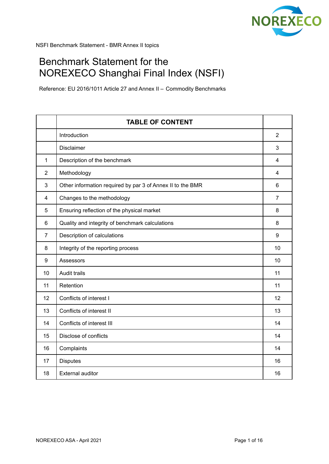

# Benchmark Statement for the NOREXECO Shanghai Final Index (NSFI)

Reference: EU 2016/1011 Article 27 and Annex II – Commodity Benchmarks

|                | <b>TABLE OF CONTENT</b>                                    |                |
|----------------|------------------------------------------------------------|----------------|
|                | Introduction                                               | $\overline{2}$ |
|                | Disclaimer                                                 | 3              |
| $\mathbf{1}$   | Description of the benchmark                               | 4              |
| 2              | Methodology                                                | 4              |
| 3              | Other information required by par 3 of Annex II to the BMR | 6              |
| 4              | Changes to the methodology                                 | 7              |
| 5              | Ensuring reflection of the physical market                 | 8              |
| 6              | Quality and integrity of benchmark calculations            | 8              |
| $\overline{7}$ | Description of calculations                                | 9              |
| 8              | Integrity of the reporting process                         | 10             |
| 9              | Assessors                                                  | 10             |
| 10             | Audit trails                                               | 11             |
| 11             | Retention                                                  | 11             |
| 12             | Conflicts of interest I                                    | 12             |
| 13             | Conflicts of interest II                                   | 13             |
| 14             | Conflicts of interest III                                  | 14             |
| 15             | Disclose of conflicts                                      | 14             |
| 16             | Complaints                                                 | 14             |
| 17             | <b>Disputes</b>                                            | 16             |
| 18             | <b>External auditor</b>                                    | 16             |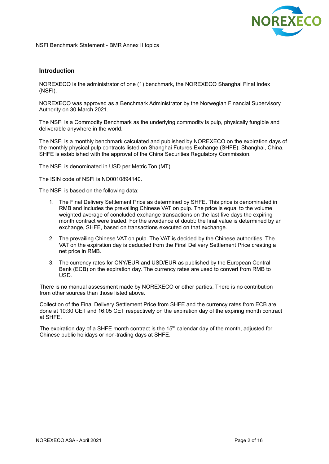

## **Introduction**

NOREXECO is the administrator of one (1) benchmark, the NOREXECO Shanghai Final Index (NSFI).

NOREXECO was approved as a Benchmark Administrator by the Norwegian Financial Supervisory Authority on 30 March 2021.

The NSFI is a Commodity Benchmark as the underlying commodity is pulp, physically fungible and deliverable anywhere in the world.

The NSFI is a monthly benchmark calculated and published by NOREXECO on the expiration days of the monthly physical pulp contracts listed on Shanghai Futures Exchange (SHFE), Shanghai, China. SHFE is established with the approval of the China Securities Regulatory Commission.

The NSFI is denominated in USD per Metric Ton (MT).

The ISIN code of NSFI is NO0010894140.

The NSFI is based on the following data:

- 1. The Final Delivery Settlement Price as determined by SHFE. This price is denominated in RMB and includes the prevailing Chinese VAT on pulp. The price is equal to the volume weighted average of concluded exchange transactions on the last five days the expiring month contract were traded. For the avoidance of doubt: the final value is determined by an exchange, SHFE, based on transactions executed on that exchange.
- 2. The prevailing Chinese VAT on pulp. The VAT is decided by the Chinese authorities. The VAT on the expiration day is deducted from the Final Delivery Settlement Price creating a net price in RMB.
- 3. The currency rates for CNY/EUR and USD/EUR as published by the European Central Bank (ECB) on the expiration day. The currency rates are used to convert from RMB to USD.

There is no manual assessment made by NOREXECO or other parties. There is no contribution from other sources than those listed above.

Collection of the Final Delivery Settlement Price from SHFE and the currency rates from ECB are done at 10:30 CET and 16:05 CET respectively on the expiration day of the expiring month contract at SHFE.

The expiration day of a SHFE month contract is the 15<sup>th</sup> calendar day of the month, adjusted for Chinese public holidays or non-trading days at SHFE.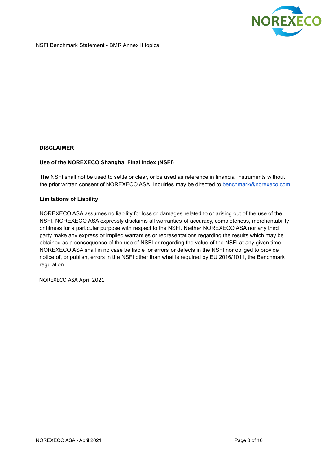

## **DISCLAIMER**

## **Use of the NOREXECO Shanghai Final Index (NSFI)**

The NSFI shall not be used to settle or clear, or be used as reference in financial instruments without the prior written consent of NOREXECO ASA. Inquiries may be directed to [benchmark@norexeco.com.](mailto:benchmark@norexeco.com)

#### **Limitations of Liability**

NOREXECO ASA assumes no liability for loss or damages related to or arising out of the use of the NSFI. NOREXECO ASA expressly disclaims all warranties of accuracy, completeness, merchantability or fitness for a particular purpose with respect to the NSFI. Neither NOREXECO ASA nor any third party make any express or implied warranties or representations regarding the results which may be obtained as a consequence of the use of NSFI or regarding the value of the NSFI at any given time. NOREXECO ASA shall in no case be liable for errors or defects in the NSFI nor obliged to provide notice of, or publish, errors in the NSFI other than what is required by EU 2016/1011, the Benchmark regulation.

NOREXECO ASA April 2021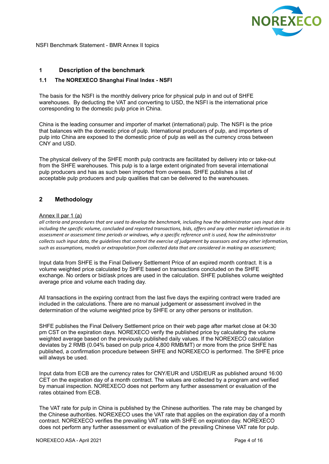

# **1 Description of the benchmark**

## **1.1 The NOREXECO Shanghai Final Index - NSFI**

The basis for the NSFI is the monthly delivery price for physical pulp in and out of SHFE warehouses. By deducting the VAT and converting to USD, the NSFI is the international price corresponding to the domestic pulp price in China.

China is the leading consumer and importer of market (international) pulp. The NSFI is the price that balances with the domestic price of pulp. International producers of pulp, and importers of pulp into China are exposed to the domestic price of pulp as well as the currency cross between CNY and USD.

The physical delivery of the SHFE month pulp contracts are facilitated by delivery into or take-out from the SHFE warehouses. This pulp is to a large extent originated from several international pulp producers and has as such been imported from overseas. SHFE publishes a list of acceptable pulp producers and pulp qualities that can be delivered to the warehouses.

## **2 Methodology**

#### Annex II par 1 (a)

all criteria and procedures that are used to develop the benchmark, including how the administrator uses input data including the specific volume, concluded and reported transactions, bids, offers and any other market information in its assessment or assessment time periods or windows, why a specific reference unit is used, how the administrator collects such input data, the quidelines that control the exercise of judgement by assessors and any other information, *such as assumptions, models or extrapolation from collected data that are considered in making an assessment;*

Input data from SHFE is the Final Delivery Settlement Price of an expired month contract. It is a volume weighted price calculated by SHFE based on transactions concluded on the SHFE exchange. No orders or bid/ask prices are used in the calculation. SHFE publishes volume weighted average price and volume each trading day.

All transactions in the expiring contract from the last five days the expiring contract were traded are included in the calculations. There are no manual judgement or assessment involved in the determination of the volume weighted price by SHFE or any other persons or institution.

SHFE publishes the Final Delivery Settlement price on their web page after market close at 04:30 pm CST on the expiration days. NOREXECO verify the published price by calculating the volume weighted average based on the previously published daily values. If the NOREXECO calculation deviates by 2 RMB (0.04% based on pulp price 4,800 RMB/MT) or more from the price SHFE has published, a confirmation procedure between SHFE and NOREXECO is performed. The SHFE price will always be used.

Input data from ECB are the currency rates for CNY/EUR and USD/EUR as published around 16:00 CET on the expiration day of a month contract. The values are collected by a program and verified by manual inspection. NOREXECO does not perform any further assessment or evaluation of the rates obtained from ECB.

The VAT rate for pulp in China is published by the Chinese authorities. The rate may be changed by the Chinese authorities. NOREXECO uses the VAT rate that applies on the expiration day of a month contract. NOREXECO verifies the prevailing VAT rate with SHFE on expiration day. NOREXECO does not perform any further assessment or evaluation of the prevailing Chinese VAT rate for pulp.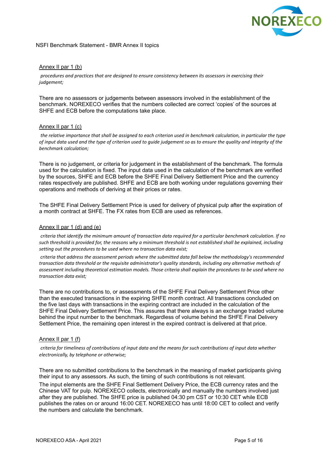

### Annex II par 1 (b)

*procedures and practices that are designed to ensure consistency between its assessors in exercising their judgement;*

There are no assessors or judgements between assessors involved in the establishment of the benchmark. NOREXECO verifies that the numbers collected are correct 'copies' of the sources at SHFE and ECB before the computations take place.

#### Annex II par 1 (c)

the relative importance that shall be assigned to each criterion used in benchmark calculation, in particular the type of input data used and the type of criterion used to guide judgement so as to ensure the quality and integrity of the *benchmark calculation;*

There is no judgement, or criteria for judgement in the establishment of the benchmark. The formula used for the calculation is fixed. The input data used in the calculation of the benchmark are verified by the sources, SHFE and ECB before the SHFE Final Delivery Settlement Price and the currency rates respectively are published. SHFE and ECB are both working under regulations governing their operations and methods of deriving at their prices or rates.

The SHFE Final Delivery Settlement Price is used for delivery of physical pulp after the expiration of a month contract at SHFE. The FX rates from ECB are used as references.

#### Annex II par 1 (d) and (e)

criteria that identify the minimum amount of transaction data required for a particular benchmark calculation. If no such threshold is provided for, the reasons why a minimum threshold is not established shall be explained, including *setting out the procedures to be used where no transaction data exist;*

*criteria that address the assessment periods where the submitted data fall below the methodology's recommended transaction data threshold or the requisite administrator's quality standards, including any alternative methods of* assessment including theoretical estimation models. Those criteria shall explain the procedures to be used where no *transaction data exist;*

There are no contributions to, or assessments of the SHFE Final Delivery Settlement Price other than the executed transactions in the expiring SHFE month contract. All transactions concluded on the five last days with transactions in the expiring contract are included in the calculation of the SHFE Final Delivery Settlement Price. This assures that there always is an exchange traded volume behind the input number to the benchmark. Regardless of volume behind the SHFE Final Delivery Settlement Price, the remaining open interest in the expired contract is delivered at that price.

## Annex II par 1 (f)

criteria for timeliness of contributions of input data and the means for such contributions of input data whether *electronically, by telephone or otherwise;*

There are no submitted contributions to the benchmark in the meaning of market participants giving their input to any assessors. As such, the timing of such contributions is not relevant.

The input elements are the SHFE Final Settlement Delivery Price, the ECB currency rates and the Chinese VAT for pulp. NOREXECO collects, electronically and manually the numbers involved just after they are published. The SHFE price is published 04:30 pm CST or 10:30 CET while ECB publishes the rates on or around 16:00 CET. NOREXECO has until 18:00 CET to collect and verify the numbers and calculate the benchmark.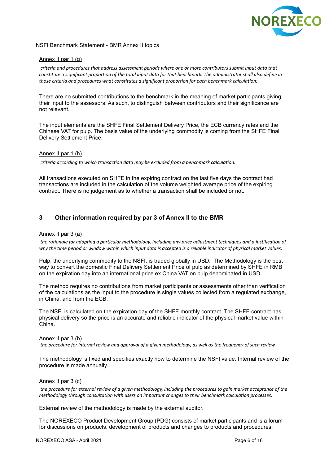

#### Annex II par 1 (g)

*criteria and procedures that address assessment periods where one or more contributors submit input data that* constitute a significant proportion of the total input data for that benchmark. The administrator shall also define in *those criteria and procedures what constitutes a significant proportion for each benchmark calculation;*

There are no submitted contributions to the benchmark in the meaning of market participants giving their input to the assessors. As such, to distinguish between contributors and their significance are not relevant.

The input elements are the SHFE Final Settlement Delivery Price, the ECB currency rates and the Chinese VAT for pulp. The basis value of the underlying commodity is coming from the SHFE Final Delivery Settlement Price.

#### Annex II par 1 (h)

*criteria according to which transaction data may be excluded from a benchmark calculation.*

All transactions executed on SHFE in the expiring contract on the last five days the contract had transactions are included in the calculation of the volume weighted average price of the expiring contract. There is no judgement as to whether a transaction shall be included or not.

# **3 Other information required by par 3 of Annex II to the BMR**

#### Annex II par 3 (a)

the rationale for adopting a particular methodology, including any price adjustment techniques and a justification of why the time period or window within which input data is accepted is a reliable indicator of physical market values;

Pulp, the underlying commodity to the NSFI, is traded globally in USD. The Methodology is the best way to convert the domestic Final Delivery Settlement Price of pulp as determined by SHFE in RMB on the expiration day into an international price ex China VAT on pulp denominated in USD.

The method requires no contributions from market participants or assessments other than verification of the calculations as the input to the procedure is single values collected from a regulated exchange, in China, and from the ECB.

The NSFI is calculated on the expiration day of the SHFE monthly contract. The SHFE contract has physical delivery so the price is an accurate and reliable indicator of the physical market value within China.

#### Annex II par 3 (b)

the procedure for internal review and approval of a given methodology, as well as the frequency of such review

The methodology is fixed and specifies exactly how to determine the NSFI value. Internal review of the procedure is made annually.

#### Annex II par 3 (c)

the procedure for external review of a given methodology, including the procedures to gain market acceptance of the *methodology through consultation with users on important changes to their benchmark calculation processes.*

External review of the methodology is made by the external auditor.

The NOREXECO Product Development Group (PDG) consists of market participants and is a forum for discussions on products, development of products and changes to products and procedures.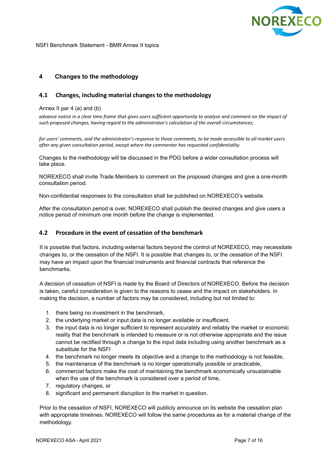

# **4 Changes to the methodology**

## **4.1 Changes, including material changes to the methodology**

## Annex II par 4 (a) and (b)

advance notice in a clear time frame that gives users sufficient opportunity to analyse and comment on the impact of *such proposed changes, having regard to the administrator's calculation of the overall circumstances;*

for users' comments, and the administrator's response to those comments, to be made accessible to all market users *after any given consultation period, except where the commenter has requested confidentiality*

Changes to the methodology will be discussed in the PDG before a wider consultation process will take place.

NOREXECO shall invite Trade Members to comment on the proposed changes and give a one-month consultation period.

Non-confidential responses to the consultation shall be published on NOREXECO's website.

After the consultation period is over, NOREXECO shall publish the desired changes and give users a notice period of minimum one month before the change is implemented.

## **4.2 Procedure in the event of cessation of the benchmark**

It is possible that factors, including external factors beyond the control of NOREXECO, may necessitate changes to, or the cessation of the NSFI. It is possible that changes to, or the cessation of the NSFI may have an impact upon the financial instruments and financial contracts that reference the benchmarks.

A decision of cessation of NSFI is made by the Board of Directors of NOREXECO. Before the decision is taken, careful consideration is given to the reasons to cease and the impact on stakeholders. In making the decision, a number of factors may be considered, including but not limited to:

- 1. there being no investment in the benchmark,
- 2. the underlying market or input data is no longer available or insufficient,
- 3. the input data is no longer sufficient to represent accurately and reliably the market or economic reality that the benchmark is intended to measure or is not otherwise appropriate and the issue cannot be rectified through a change to the input data including using another benchmark as a substitute for the NSFI
- 4. the benchmark no longer meets its objective and a change to the methodology is not feasible,
- 5. the maintenance of the benchmark is no longer operationally possible or practicable,
- 6. commercial factors make the cost of maintaining the benchmark economically unsustainable when the use of the benchmark is considered over a period of time,
- 7. regulatory changes, or
- 8. significant and permanent disruption to the market in question.

Prior to the cessation of NSFI, NOREXECO will publicly announce on its website the cessation plan with appropriate timelines. NOREXECO will follow the same procedures as for a material change of the methodology.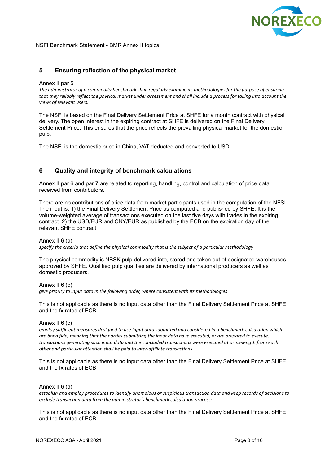

# **5 Ensuring reflection of the physical market**

#### Annex II par 5

*The administrator of a commodity benchmark shall regularly examine its methodologies for the purpose of ensuring* that they reliably reflect the physical market under assessment and shall include a process for taking into account the *views of relevant users.*

The NSFI is based on the Final Delivery Settlement Price at SHFE for a month contract with physical delivery. The open interest in the expiring contract at SHFE is delivered on the Final Delivery Settlement Price. This ensures that the price reflects the prevailing physical market for the domestic pulp.

The NSFI is the domestic price in China, VAT deducted and converted to USD.

## **6 Quality and integrity of benchmark calculations**

Annex II par 6 and par 7 are related to reporting, handling, control and calculation of price data received from contributors.

There are no contributions of price data from market participants used in the computation of the NFSI. The input is: 1) the Final Delivery Settlement Price as computed and published by SHFE. It is the volume-weighted average of transactions executed on the last five days with trades in the expiring contract. 2) the USD/EUR and CNY/EUR as published by the ECB on the expiration day of the relevant SHFE contract.

# Annex II 6 (a)

*specify the criteria that define the physical commodity that is the subject of a particular methodology*

The physical commodity is NBSK pulp delivered into, stored and taken out of designated warehouses approved by SHFE. Qualified pulp qualities are delivered by international producers as well as domestic producers.

Annex II 6 (b)

*give priority to input data in the following order, where consistent with its methodologies*

This is not applicable as there is no input data other than the Final Delivery Settlement Price at SHFE and the fx rates of ECB.

#### Annex II 6 (c)

*employ sufficient measures designed to use input data submitted and considered in a benchmark calculation which* are bona fide, meaning that the parties submitting the input data have executed, or are prepared to execute. *transactions generating such input data and the concluded transactions were executed at arms-length from each other and particular attention shall be paid to inter-affiliate transactions*

This is not applicable as there is no input data other than the Final Delivery Settlement Price at SHFE and the fx rates of ECB.

#### Annex II 6 (d)

establish and employ procedures to identify anomalous or suspicious transaction data and keep records of decisions to *exclude transaction data from the administrator's benchmark calculation process;*

This is not applicable as there is no input data other than the Final Delivery Settlement Price at SHFE and the fx rates of ECB.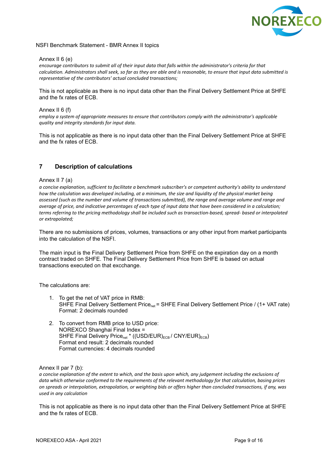

#### Annex II 6 (e)

encourage contributors to submit all of their input data that falls within the administrator's criteria for that calculation. Administrators shall seek, so far as they are able and is reasonable, to ensure that input data submitted is *representative of the contributors' actual concluded transactions;*

This is not applicable as there is no input data other than the Final Delivery Settlement Price at SHFE and the fx rates of ECB.

#### Annex II 6 (f)

*employ a system of appropriate measures to ensure that contributors comply with the administrator's applicable quality and integrity standards for input data.*

This is not applicable as there is no input data other than the Final Delivery Settlement Price at SHFE and the fx rates of ECB.

# **7 Description of calculations**

#### Annex II 7 (a)

*a concise explanation, sufficient to facilitate a benchmark subscriber's or competent authority's ability to understand* how the calculation was developed includina, at a minimum, the size and liauidity of the physical market beina assessed (such as the number and volume of transactions submitted), the range and average volume and range and average of price, and indicative percentages of each type of input data that have been considered in a calculation; terms referring to the pricing methodology shall be included such as transaction-based, spread-based or interpolated *or extrapolated;*

There are no submissions of prices, volumes, transactions or any other input from market participants into the calculation of the NSFI.

The main input is the Final Delivery Settlement Price from SHFE on the expiration day on a month contract traded on SHFE. The Final Delivery Settlement Price from SHFE is based on actual transactions executed on that excchange.

The calculations are:

- 1. To get the net of VAT price in RMB: SHFE Final Delivery Settlement Price<sub>net</sub> = SHFE Final Delivery Settlement Price / (1+ VAT rate) Format: 2 decimals rounded
- 2. To convert from RMB price to USD price: NOREXCO Shanghai Final Index = SHFE Final Delivery Price<sub>net</sub> \* ((USD/EUR)<sub>ECB</sub>/ CNY/EUR)<sub>ECB</sub>) Format end result: 2 decimals rounded Format currencies: 4 decimals rounded

#### Annex II par 7 (b):

a concise explanation of the extent to which, and the basis upon which, any judgement including the exclusions of data which otherwise conformed to the requirements of the relevant methodology for that calculation, basing prices on spreads or interpolation, extrapolation, or weighting bids or offers higher than concluded transactions, if any, was *used in any calculation*

This is not applicable as there is no input data other than the Final Delivery Settlement Price at SHFE and the fx rates of ECB.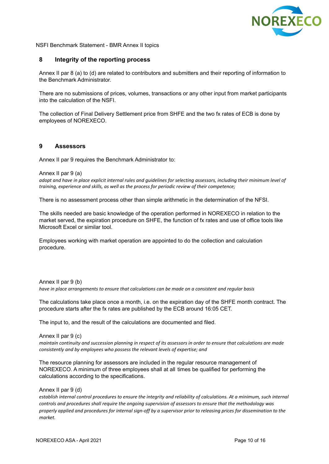

## **8 Integrity of the reporting process**

Annex II par 8 (a) to (d) are related to contributors and submitters and their reporting of information to the Benchmark Administrator.

There are no submissions of prices, volumes, transactions or any other input from market participants into the calculation of the NSFI.

The collection of Final Delivery Settlement price from SHFE and the two fx rates of ECB is done by employees of NOREXECO.

## **9 Assessors**

Annex II par 9 requires the Benchmark Administrator to:

#### Annex II par 9 (a)

adopt and have in place explicit internal rules and quidelines for selecting assessors, including their minimum level of *training, experience and skills, as well as the process for periodic review of their competence;*

There is no assessment process other than simple arithmetic in the determination of the NFSI.

The skills needed are basic knowledge of the operation performed in NOREXECO in relation to the market served, the expiration procedure on SHFE, the function of fx rates and use of office tools like Microsoft Excel or similar tool.

Employees working with market operation are appointed to do the collection and calculation procedure.

Annex II par 9 (b) *have in place arrangements to ensure that calculations can be made on a consistent and regular basis*

The calculations take place once a month, i.e. on the expiration day of the SHFE month contract. The procedure starts after the fx rates are published by the ECB around 16:05 CET.

The input to, and the result of the calculations are documented and filed.

Annex II par 9 (c) maintain continuity and succession planning in respect of its assessors in order to ensure that calculations are made *consistently and by employees who possess the relevant levels of expertise; and*

The resource planning for assessors are included in the regular resource management of NOREXECO. A minimum of three employees shall at all times be qualified for performing the calculations according to the specifications.

#### Annex II par 9 (d)

establish internal control procedures to ensure the integrity and reliability of calculations. At a minimum, such internal *controls and procedures shall require the ongoing supervision of assessors to ensure that the methodology was* properly applied and procedures for internal sign-off by a supervisor prior to releasing prices for dissemination to the *market.*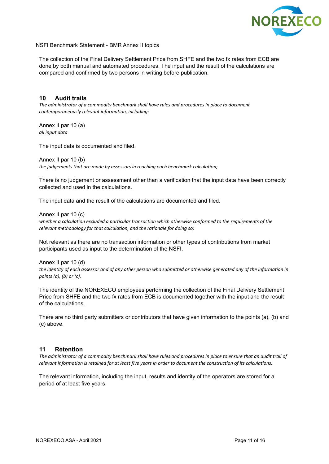

The collection of the Final Delivery Settlement Price from SHFE and the two fx rates from ECB are done by both manual and automated procedures. The input and the result of the calculations are compared and confirmed by two persons in writing before publication.

## **10 Audit trails**

*The administrator of a commodity benchmark shall have rules and procedures in place to document contemporaneously relevant information, including:*

Annex II par 10 (a) *all input data*

The input data is documented and filed.

Annex II par 10 (b)

*the judgements that are made by assessors in reaching each benchmark calculation;*

There is no judgement or assessment other than a verification that the input data have been correctly collected and used in the calculations.

The input data and the result of the calculations are documented and filed.

Annex II par 10 (c)

*whether a calculation excluded a particular transaction which otherwise conformed to the requirements of the relevant methodology for that calculation, and the rationale for doing so;*

Not relevant as there are no transaction information or other types of contributions from market participants used as input to the determination of the NSFI.

Annex II par 10 (d) the identity of each assessor and of any other person who submitted or otherwise generated any of the information in *points (a), (b) or (c).*

The identity of the NOREXECO employees performing the collection of the Final Delivery Settlement Price from SHFE and the two fx rates from ECB is documented together with the input and the result of the calculations.

There are no third party submitters or contributors that have given information to the points (a), (b) and (c) above.

#### **11 Retention**

The administrator of a commodity benchmark shall have rules and procedures in place to ensure that an audit trail of relevant information is retained for at least five years in order to document the construction of its calculations.

The relevant information, including the input, results and identity of the operators are stored for a period of at least five years.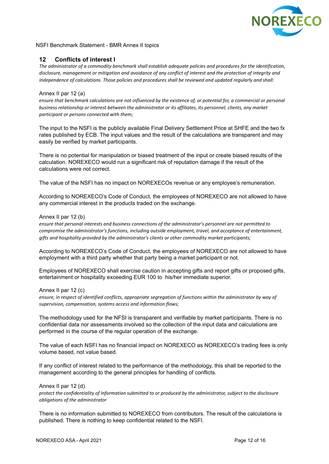

# **12 Conflicts of interest I**

*The administrator of a commodity benchmark shall establish adequate policies and procedures for the identification,* disclosure, management or mitigation and avoidance of any conflict of interest and the protection of integrity and *independence of calculations. Those policies and procedures shall be reviewed and updated regularly and shall:*

### Annex II par 12 (a)

ensure that benchmark calculations are not influenced by the existence of, or potential for, a commercial or personal *business relationship or interest between the administrator or its affiliates, its personnel, clients, any market participant or persons connected with them;*

The input to the NSFI is the publicly available Final Delivery Settlement Price at SHFE and the two fx rates published by ECB. The input values and the result of the calculations are transparent and may easily be verified by market participants.

There is no potential for manipulation or biased treatment of the input or create biased results of the calculation. NOREXECO would run a significant risk of reputation damage if the result of the calculations were not correct.

The value of the NSFI has no impact on NOREXECOs revenue or any employee's remuneration.

According to NOREXECO's Code of Conduct, the employees of NOREXECO are not allowed to have any commercial interest in the products traded on the exchange.

#### Annex II par 12 (b)

*ensure that personal interests and business connections of the administrator's personnel are not permitted to compromise the administrator's functions, including outside employment, travel, and acceptance of entertainment, gifts and hospitality provided by the administrator's clients or other commodity market participants;*

According to NOREXECO's Code of Conduct, the employees of NOREXECO are not allowed to have employment with a third party whether that party being a market participant or not.

Employees of NOREXECO shall exercise caution in accepting gifts and report gifts or proposed gifts, entertainment or hospitality exceeding EUR 100 to his/her immediate superior.

#### Annex II par 12 (c)

ensure, in respect of identified conflicts, appropriate segregation of functions within the administrator by way of *supervision, compensation, systems access and information flows;*

The methodology used for the NFSI is transparent and verifiable by market participants. There is no confidential data nor assessments involved so the collection of the input data and calculations are performed in the course of the regular operation of the exchange.

The value of each NSFI has no financial impact on NOREXECO as NOREXECO's trading fees is only volume based, not value based.

If any conflict of interest related to the performance of the methodology, this shall be reported to the management according to the general principles for handling of conflicts.

#### Annex II par 12 (d)

protect the confidentiality of information submitted to or produced by the administrator, subject to the disclosure *obligations of the administrator*

There is no information submitted to NOREXECO from contributors. The result of the calculations is published. There is nothing to keep confidential related to the NSFI.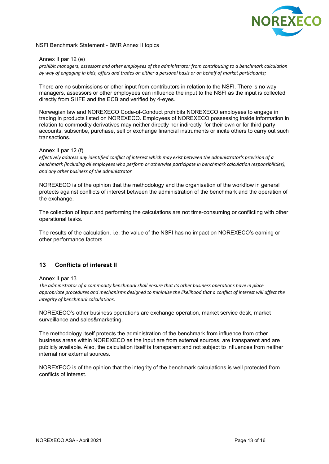

#### Annex II par 12 (e)

*prohibit managers, assessors and other employees of the administrator from contributing to a benchmark calculation* by way of engaging in bids, offers and trades on either a personal basis or on behalf of market participants;

There are no submissions or other input from contributors in relation to the NSFI. There is no way managers, assessors or other employees can influence the input to the NSFI as the input is collected directly from SHFE and the ECB and verified by 4-eyes.

Norwegian law and NOREXECO Code-of-Conduct prohibits NOREXECO employees to engage in trading in products listed on NOREXECO. Employees of NOREXECO possessing inside information in relation to commodity derivatives may neither directly nor indirectly, for their own or for third party accounts, subscribe, purchase, sell or exchange financial instruments or incite others to carry out such transactions.

## Annex II par 12 (f)

effectively address any identified conflict of interest which may exist between the administrator's provision of a *benchmark (including all employees who perform or otherwise participate in benchmark calculation responsibilities), and any other business of the administrator*

NOREXECO is of the opinion that the methodology and the organisation of the workflow in general protects against conflicts of interest between the administration of the benchmark and the operation of the exchange.

The collection of input and performing the calculations are not time-consuming or conflicting with other operational tasks.

The results of the calculation, i.e. the value of the NSFI has no impact on NOREXECO's earning or other performance factors.

# **13 Conflicts of interest II**

#### Annex II par 13

*The administrator of a commodity benchmark shall ensure that its other business operations have in place* appropriate procedures and mechanisms designed to minimise the likelihood that a conflict of interest will affect the *integrity of benchmark calculations.*

NOREXECO's other business operations are exchange operation, market service desk, market surveillance and sales&marketing.

The methodology itself protects the administration of the benchmark from influence from other business areas within NOREXECO as the input are from external sources, are transparent and are publicly available. Also, the calculation itself is transparent and not subject to influences from neither internal nor external sources.

NOREXECO is of the opinion that the integrity of the benchmark calculations is well protected from conflicts of interest.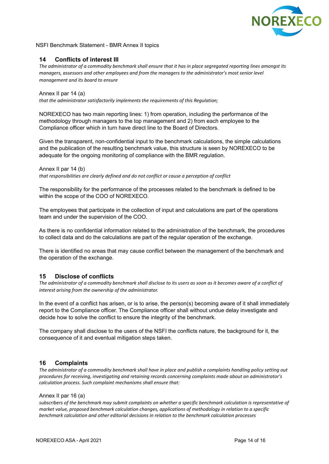

# **14 Conflicts of interest III**

The administrator of a commodity benchmark shall ensure that it has in place segregated reporting lines amongst its *managers, assessors and other employees and from the managers to the administrator's most senior level management and its board to ensure*

Annex II par 14 (a) *that the administrator satisfactorily implements the requirements of this Regulation;*

NOREXECO has two main reporting lines: 1) from operation, including the performance of the methodology through managers to the top management and 2) from each employee to the Compliance officer which in turn have direct line to the Board of Directors.

Given the transparent, non-confidential input to the benchmark calculations, the simple calculations and the publication of the resulting benchmark value, this structure is seen by NOREXECO to be adequate for the ongoing monitoring of compliance with the BMR regulation.

Annex II par 14 (b) *that responsibilities are clearly defined and do not conflict or cause a perception of conflict*

The responsibility for the performance of the processes related to the benchmark is defined to be within the scope of the COO of NOREXECO.

The employees that participate in the collection of input and calculations are part of the operations team and under the supervision of the COO.

As there is no confidential information related to the administration of the benchmark, the procedures to collect data and do the calculations are part of the regular operation of the exchange.

There is identified no areas that may cause conflict between the management of the benchmark and the operation of the exchange.

## **15 Disclose of conflicts**

The administrator of a commodity benchmark shall disclose to its users as soon as it becomes aware of a conflict of *interest arising from the ownership of the administrator.*

In the event of a conflict has arisen, or is to arise, the person(s) becoming aware of it shall immediately report to the Compliance officer. The Compliance officer shall without undue delay investigate and decide how to solve the conflict to ensure the integrity of the benchmark.

The company shall disclose to the users of the NSFI the conflicts nature, the background for it, the consequence of it and eventual mitigation steps taken.

## **16 Complaints**

The administrator of a commodity benchmark shall have in place and publish a complaints handling policy setting out *procedures for receiving, investigating and retaining records concerning complaints made about an administrator's calculation process. Such complaint mechanisms shall ensure that:*

#### Annex II par 16 (a)

subscribers of the benchmark may submit complaints on whether a specific benchmark calculation is representative of *market value, proposed benchmark calculation changes, applications of methodology in relation to a specific benchmark calculation and other editorial decisions in relation to the benchmark calculation processes*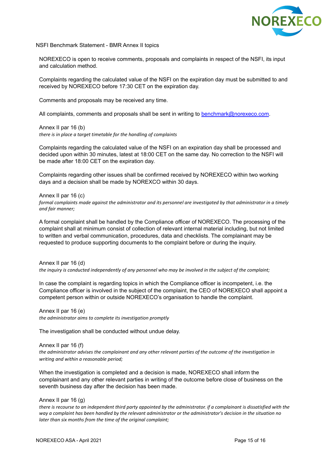

NOREXECO is open to receive comments, proposals and complaints in respect of the NSFI, its input and calculation method.

Complaints regarding the calculated value of the NSFI on the expiration day must be submitted to and received by NOREXECO before 17:30 CET on the expiration day.

Comments and proposals may be received any time.

All complaints, comments and proposals shall be sent in writing to [benchmark@norexeco.com](mailto:benchmark@norexeco.com).

Annex II par 16 (b) *there is in place a target timetable for the handling of complaints*

Complaints regarding the calculated value of the NSFI on an expiration day shall be processed and decided upon within 30 minutes, latest at 18:00 CET on the same day. No correction to the NSFI will be made after 18:00 CET on the expiration day.

Complaints regarding other issues shall be confirmed received by NOREXECO within two working days and a decision shall be made by NOREXCO within 30 days.

Annex II par 16 (c)

formal complaints made against the administrator and its personnel are investigated by that administrator in a timely *and fair manner;*

A formal complaint shall be handled by the Compliance officer of NOREXECO. The processing of the complaint shall at minimum consist of collection of relevant internal material including, but not limited to written and verbal communication, procedures, data and checklists. The complainant may be requested to produce supporting documents to the complaint before or during the inquiry.

Annex II par 16 (d) the inquiry is conducted independently of any personnel who may be involved in the subject of the complaint;

In case the complaint is regarding topics in which the Compliance officer is incompetent, i.e. the Compliance officer is involved in the subject of the complaint, the CEO of NOREXECO shall appoint a competent person within or outside NOREXECO's organisation to handle the complaint.

Annex II par 16 (e) *the administrator aims to complete its investigation promptly*

The investigation shall be conducted without undue delay.

Annex II par 16 (f) the administrator advises the complainant and any other relevant parties of the outcome of the investigation in *writing and within a reasonable period;*

When the investigation is completed and a decision is made, NOREXECO shall inform the complainant and any other relevant parties in writing of the outcome before close of business on the seventh business day after the decision has been made.

Annex II par 16 (g)

there is recourse to an independent third party appointed by the administrator. if a complainant is dissatisfied with the way a complaint has been handled by the relevant administrator or the administrator's decision in the situation no *later than six months from the time of the original complaint;*